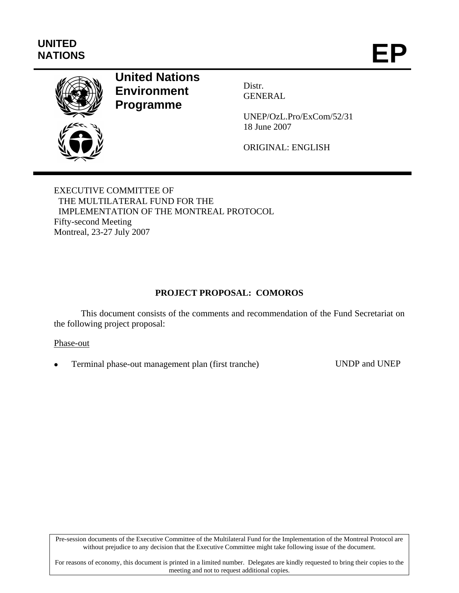# **UNITED**  UNITED<br>NATIONS **EP**



# **United Nations Environment Programme**

Distr. GENERAL

UNEP/OzL.Pro/ExCom/52/31 18 June 2007

ORIGINAL: ENGLISH

EXECUTIVE COMMITTEE OF THE MULTILATERAL FUND FOR THE IMPLEMENTATION OF THE MONTREAL PROTOCOL Fifty-second Meeting Montreal, 23-27 July 2007

# **PROJECT PROPOSAL: COMOROS**

This document consists of the comments and recommendation of the Fund Secretariat on the following project proposal:

#### Phase-out

• Terminal phase-out management plan (first tranche) UNDP and UNEP

Pre-session documents of the Executive Committee of the Multilateral Fund for the Implementation of the Montreal Protocol are without prejudice to any decision that the Executive Committee might take following issue of the document.

For reasons of economy, this document is printed in a limited number. Delegates are kindly requested to bring their copies to the meeting and not to request additional copies.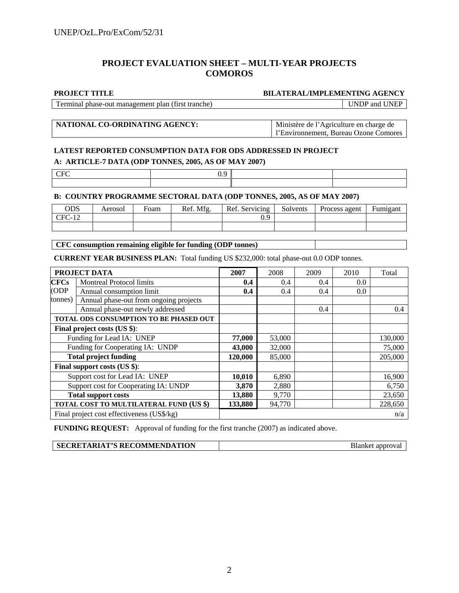#### **PROJECT EVALUATION SHEET – MULTI-YEAR PROJECTS COMOROS**

**PROJECT TITLE BILATERAL/IMPLEMENTING AGENCY** 

Terminal phase-out management plan (first tranche) UNDP and UNEP

#### **NATIONAL CO-ORDINATING AGENCY:** Ministère de l'Agriculture en charge de

l'Environnement, Bureau Ozone Comores

## **LATEST REPORTED CONSUMPTION DATA FOR ODS ADDRESSED IN PROJECT A: ARTICLE-7 DATA (ODP TONNES, 2005, AS OF MAY 2007)**

| . .       | . |  |
|-----------|---|--|
| CFC<br>◡ェ |   |  |
|           |   |  |

#### **B: COUNTRY PROGRAMME SECTORAL DATA (ODP TONNES, 2005, AS OF MAY 2007)**

| ODS   | Aerosol | Foam | Ref. Mfg. | Ref. Servicing | Solvents | Process agent | T.<br>Fumigant |
|-------|---------|------|-----------|----------------|----------|---------------|----------------|
| 'U-12 |         |      |           |                |          |               |                |
|       |         |      |           |                |          |               |                |

**CFC consumption remaining eligible for funding (ODP tonnes)** 

**CURRENT YEAR BUSINESS PLAN:** Total funding US \$232,000: total phase-out 0.0 ODP tonnes.

| PROJECT DATA                            |                                            | 2007    | 2008   | 2009 | 2010 | Total   |
|-----------------------------------------|--------------------------------------------|---------|--------|------|------|---------|
| CFCs                                    | <b>Montreal Protocol limits</b>            | 0.4     | 0.4    | 0.4  | 0.0  |         |
| (ODP)                                   | Annual consumption limit                   | 0.4     | 0.4    | 0.4  | 0.0  |         |
| tonnes)                                 | Annual phase-out from ongoing projects     |         |        |      |      |         |
|                                         | Annual phase-out newly addressed           |         |        | 0.4  |      | 0.4     |
|                                         | TOTAL ODS CONSUMPTION TO BE PHASED OUT     |         |        |      |      |         |
| Final project costs (US \$):            |                                            |         |        |      |      |         |
| Funding for Lead IA: UNEP               |                                            | 77,000  | 53,000 |      |      | 130,000 |
|                                         | Funding for Cooperating IA: UNDP           | 43,000  | 32,000 |      |      | 75,000  |
|                                         | <b>Total project funding</b>               | 120,000 | 85,000 |      |      | 205,000 |
|                                         | Final support costs (US \$):               |         |        |      |      |         |
|                                         | Support cost for Lead IA: UNEP             | 10,010  | 6,890  |      |      | 16,900  |
| Support cost for Cooperating IA: UNDP   |                                            | 3,870   | 2,880  |      |      | 6,750   |
| <b>Total support costs</b>              |                                            | 13,880  | 9,770  |      |      | 23,650  |
| TOTAL COST TO MULTILATERAL FUND (US \$) |                                            | 133,880 | 94,770 |      |      | 228,650 |
|                                         | Final project cost effectiveness (US\$/kg) |         |        |      |      | n/a     |

**FUNDING REQUEST:** Approval of funding for the first tranche (2007) as indicated above.

|--|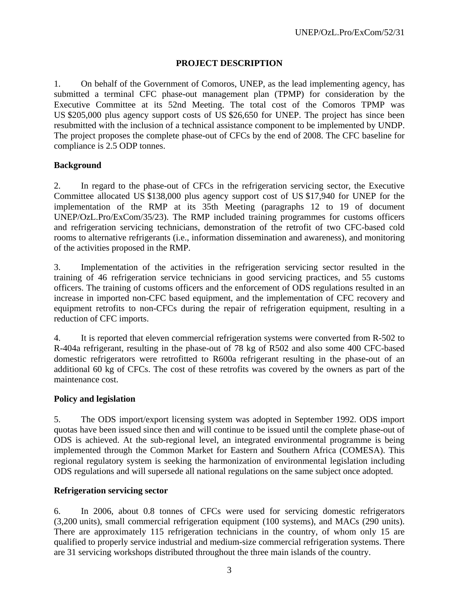# **PROJECT DESCRIPTION**

1. On behalf of the Government of Comoros, UNEP, as the lead implementing agency, has submitted a terminal CFC phase-out management plan (TPMP) for consideration by the Executive Committee at its 52nd Meeting. The total cost of the Comoros TPMP was US \$205,000 plus agency support costs of US \$26,650 for UNEP. The project has since been resubmitted with the inclusion of a technical assistance component to be implemented by UNDP. The project proposes the complete phase-out of CFCs by the end of 2008. The CFC baseline for compliance is 2.5 ODP tonnes.

# **Background**

2. In regard to the phase-out of CFCs in the refrigeration servicing sector, the Executive Committee allocated US \$138,000 plus agency support cost of US \$17,940 for UNEP for the implementation of the RMP at its 35th Meeting (paragraphs 12 to 19 of document UNEP/OzL.Pro/ExCom/35/23). The RMP included training programmes for customs officers and refrigeration servicing technicians, demonstration of the retrofit of two CFC-based cold rooms to alternative refrigerants (i.e., information dissemination and awareness), and monitoring of the activities proposed in the RMP.

3. Implementation of the activities in the refrigeration servicing sector resulted in the training of 46 refrigeration service technicians in good servicing practices, and 55 customs officers. The training of customs officers and the enforcement of ODS regulations resulted in an increase in imported non-CFC based equipment, and the implementation of CFC recovery and equipment retrofits to non-CFCs during the repair of refrigeration equipment, resulting in a reduction of CFC imports.

4. It is reported that eleven commercial refrigeration systems were converted from R-502 to R-404a refrigerant, resulting in the phase-out of 78 kg of R502 and also some 400 CFC-based domestic refrigerators were retrofitted to R600a refrigerant resulting in the phase-out of an additional 60 kg of CFCs. The cost of these retrofits was covered by the owners as part of the maintenance cost.

#### **Policy and legislation**

5. The ODS import/export licensing system was adopted in September 1992. ODS import quotas have been issued since then and will continue to be issued until the complete phase-out of ODS is achieved. At the sub-regional level, an integrated environmental programme is being implemented through the Common Market for Eastern and Southern Africa (COMESA). This regional regulatory system is seeking the harmonization of environmental legislation including ODS regulations and will supersede all national regulations on the same subject once adopted.

# **Refrigeration servicing sector**

6. In 2006, about 0.8 tonnes of CFCs were used for servicing domestic refrigerators (3,200 units), small commercial refrigeration equipment (100 systems), and MACs (290 units). There are approximately 115 refrigeration technicians in the country, of whom only 15 are qualified to properly service industrial and medium-size commercial refrigeration systems. There are 31 servicing workshops distributed throughout the three main islands of the country.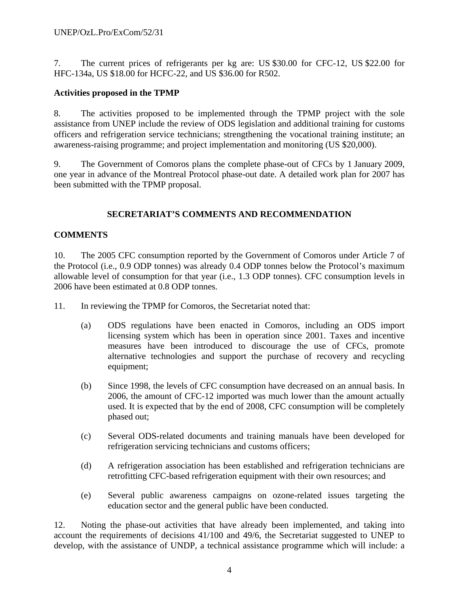7. The current prices of refrigerants per kg are: US \$30.00 for CFC-12, US \$22.00 for HFC-134a, US \$18.00 for HCFC-22, and US \$36.00 for R502.

# **Activities proposed in the TPMP**

8. The activities proposed to be implemented through the TPMP project with the sole assistance from UNEP include the review of ODS legislation and additional training for customs officers and refrigeration service technicians; strengthening the vocational training institute; an awareness-raising programme; and project implementation and monitoring (US \$20,000).

9. The Government of Comoros plans the complete phase-out of CFCs by 1 January 2009, one year in advance of the Montreal Protocol phase-out date. A detailed work plan for 2007 has been submitted with the TPMP proposal.

# **SECRETARIAT'S COMMENTS AND RECOMMENDATION**

#### **COMMENTS**

10. The 2005 CFC consumption reported by the Government of Comoros under Article 7 of the Protocol (i.e., 0.9 ODP tonnes) was already 0.4 ODP tonnes below the Protocol's maximum allowable level of consumption for that year (i.e., 1.3 ODP tonnes). CFC consumption levels in 2006 have been estimated at 0.8 ODP tonnes.

- 11. In reviewing the TPMP for Comoros, the Secretariat noted that:
	- (a) ODS regulations have been enacted in Comoros, including an ODS import licensing system which has been in operation since 2001. Taxes and incentive measures have been introduced to discourage the use of CFCs, promote alternative technologies and support the purchase of recovery and recycling equipment;
	- (b) Since 1998, the levels of CFC consumption have decreased on an annual basis. In 2006, the amount of CFC-12 imported was much lower than the amount actually used. It is expected that by the end of 2008, CFC consumption will be completely phased out;
	- (c) Several ODS-related documents and training manuals have been developed for refrigeration servicing technicians and customs officers;
	- (d) A refrigeration association has been established and refrigeration technicians are retrofitting CFC-based refrigeration equipment with their own resources; and
	- (e) Several public awareness campaigns on ozone-related issues targeting the education sector and the general public have been conducted.

12. Noting the phase-out activities that have already been implemented, and taking into account the requirements of decisions 41/100 and 49/6, the Secretariat suggested to UNEP to develop, with the assistance of UNDP, a technical assistance programme which will include: a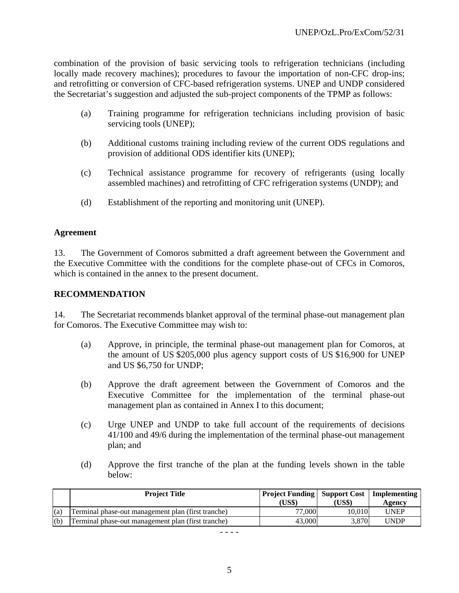combination of the provision of basic servicing tools to refrigeration technicians (including locally made recovery machines); procedures to favour the importation of non-CFC drop-ins; and retrofitting or conversion of CFC-based refrigeration systems. UNEP and UNDP considered the Secretariat's suggestion and adjusted the sub-project components of the TPMP as follows:

- (a) Training programme for refrigeration technicians including provision of basic servicing tools (UNEP);
- (b) Additional customs training including review of the current ODS regulations and provision of additional ODS identifier kits (UNEP);
- (c) Technical assistance programme for recovery of refrigerants (using locally assembled machines) and retrofitting of CFC refrigeration systems (UNDP); and
- (d) Establishment of the reporting and monitoring unit (UNEP).

#### **Agreement**

13. The Government of Comoros submitted a draft agreement between the Government and the Executive Committee with the conditions for the complete phase-out of CFCs in Comoros, which is contained in the annex to the present document.

#### **RECOMMENDATION**

14. The Secretariat recommends blanket approval of the terminal phase-out management plan for Comoros. The Executive Committee may wish to:

- (a) Approve, in principle, the terminal phase-out management plan for Comoros, at the amount of US \$205,000 plus agency support costs of US \$16,900 for UNEP and US \$6,750 for UNDP;
- (b) Approve the draft agreement between the Government of Comoros and the Executive Committee for the implementation of the terminal phase-out management plan as contained in Annex I to this document;
- (c) Urge UNEP and UNDP to take full account of the requirements of decisions 41/100 and 49/6 during the implementation of the terminal phase-out management plan; and
- (d) Approve the first tranche of the plan at the funding levels shown in the table below:

|     | <b>Project Title</b>                               | <b>Project Funding   Support Cost   Implementing</b><br>(US\$) | (US\$) | Agencv |
|-----|----------------------------------------------------|----------------------------------------------------------------|--------|--------|
| (a) | Terminal phase-out management plan (first tranche) | 77,000                                                         | 10.010 | UNEP   |
| (b) | Terminal phase-out management plan (first tranche) | 43,000                                                         | 3.870  | UNDP   |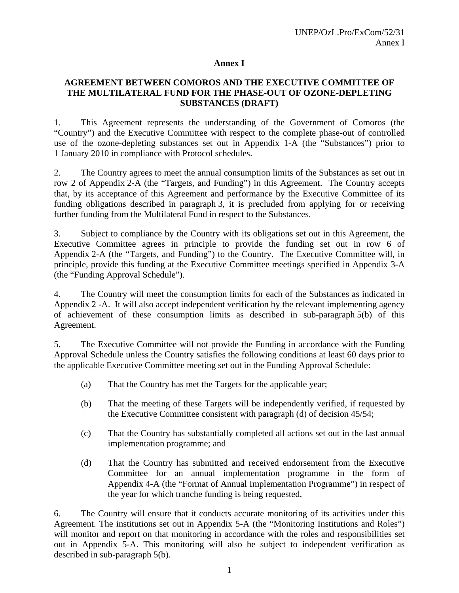#### **Annex I**

#### **AGREEMENT BETWEEN COMOROS AND THE EXECUTIVE COMMITTEE OF THE MULTILATERAL FUND FOR THE PHASE-OUT OF OZONE-DEPLETING SUBSTANCES (DRAFT)**

1. This Agreement represents the understanding of the Government of Comoros (the "Country") and the Executive Committee with respect to the complete phase-out of controlled use of the ozone-depleting substances set out in Appendix 1-A (the "Substances") prior to 1 January 2010 in compliance with Protocol schedules.

2. The Country agrees to meet the annual consumption limits of the Substances as set out in row 2 of Appendix 2-A (the "Targets, and Funding") in this Agreement. The Country accepts that, by its acceptance of this Agreement and performance by the Executive Committee of its funding obligations described in paragraph 3, it is precluded from applying for or receiving further funding from the Multilateral Fund in respect to the Substances.

3. Subject to compliance by the Country with its obligations set out in this Agreement, the Executive Committee agrees in principle to provide the funding set out in row 6 of Appendix 2-A (the "Targets, and Funding") to the Country. The Executive Committee will, in principle, provide this funding at the Executive Committee meetings specified in Appendix 3-A (the "Funding Approval Schedule").

4. The Country will meet the consumption limits for each of the Substances as indicated in Appendix 2 -A. It will also accept independent verification by the relevant implementing agency of achievement of these consumption limits as described in sub-paragraph 5(b) of this Agreement.

5. The Executive Committee will not provide the Funding in accordance with the Funding Approval Schedule unless the Country satisfies the following conditions at least 60 days prior to the applicable Executive Committee meeting set out in the Funding Approval Schedule:

- (a) That the Country has met the Targets for the applicable year;
- (b) That the meeting of these Targets will be independently verified, if requested by the Executive Committee consistent with paragraph (d) of decision 45/54;
- (c) That the Country has substantially completed all actions set out in the last annual implementation programme; and
- (d) That the Country has submitted and received endorsement from the Executive Committee for an annual implementation programme in the form of Appendix 4-A (the "Format of Annual Implementation Programme") in respect of the year for which tranche funding is being requested.

6. The Country will ensure that it conducts accurate monitoring of its activities under this Agreement. The institutions set out in Appendix 5-A (the "Monitoring Institutions and Roles") will monitor and report on that monitoring in accordance with the roles and responsibilities set out in Appendix 5-A. This monitoring will also be subject to independent verification as described in sub-paragraph 5(b).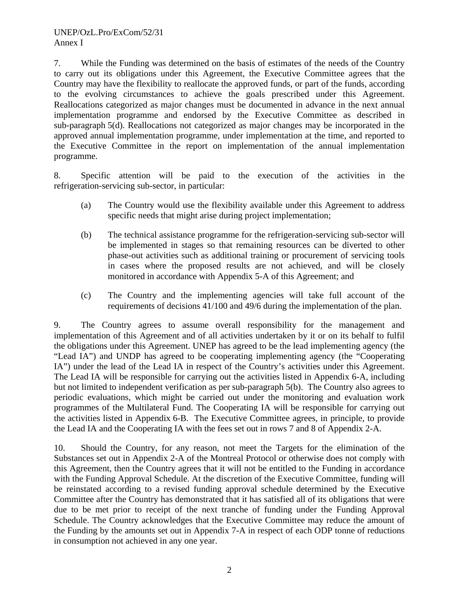7. While the Funding was determined on the basis of estimates of the needs of the Country to carry out its obligations under this Agreement, the Executive Committee agrees that the Country may have the flexibility to reallocate the approved funds, or part of the funds, according to the evolving circumstances to achieve the goals prescribed under this Agreement. Reallocations categorized as major changes must be documented in advance in the next annual implementation programme and endorsed by the Executive Committee as described in sub-paragraph 5(d). Reallocations not categorized as major changes may be incorporated in the approved annual implementation programme, under implementation at the time, and reported to the Executive Committee in the report on implementation of the annual implementation programme.

8. Specific attention will be paid to the execution of the activities in the refrigeration-servicing sub-sector, in particular:

- (a) The Country would use the flexibility available under this Agreement to address specific needs that might arise during project implementation;
- (b) The technical assistance programme for the refrigeration-servicing sub-sector will be implemented in stages so that remaining resources can be diverted to other phase-out activities such as additional training or procurement of servicing tools in cases where the proposed results are not achieved, and will be closely monitored in accordance with Appendix 5-A of this Agreement; and
- (c) The Country and the implementing agencies will take full account of the requirements of decisions 41/100 and 49/6 during the implementation of the plan.

9. The Country agrees to assume overall responsibility for the management and implementation of this Agreement and of all activities undertaken by it or on its behalf to fulfil the obligations under this Agreement. UNEP has agreed to be the lead implementing agency (the "Lead IA") and UNDP has agreed to be cooperating implementing agency (the "Cooperating IA") under the lead of the Lead IA in respect of the Country's activities under this Agreement. The Lead IA will be responsible for carrying out the activities listed in Appendix 6-A, including but not limited to independent verification as per sub-paragraph 5(b). The Country also agrees to periodic evaluations, which might be carried out under the monitoring and evaluation work programmes of the Multilateral Fund. The Cooperating IA will be responsible for carrying out the activities listed in Appendix 6-B. The Executive Committee agrees, in principle, to provide the Lead IA and the Cooperating IA with the fees set out in rows 7 and 8 of Appendix 2-A.

10. Should the Country, for any reason, not meet the Targets for the elimination of the Substances set out in Appendix 2-A of the Montreal Protocol or otherwise does not comply with this Agreement, then the Country agrees that it will not be entitled to the Funding in accordance with the Funding Approval Schedule. At the discretion of the Executive Committee, funding will be reinstated according to a revised funding approval schedule determined by the Executive Committee after the Country has demonstrated that it has satisfied all of its obligations that were due to be met prior to receipt of the next tranche of funding under the Funding Approval Schedule. The Country acknowledges that the Executive Committee may reduce the amount of the Funding by the amounts set out in Appendix 7-A in respect of each ODP tonne of reductions in consumption not achieved in any one year.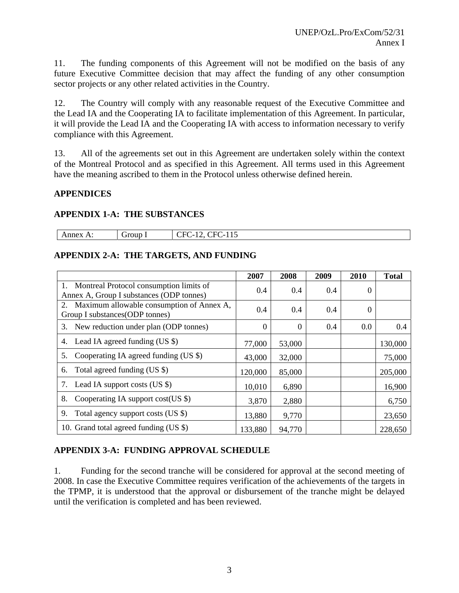11. The funding components of this Agreement will not be modified on the basis of any future Executive Committee decision that may affect the funding of any other consumption sector projects or any other related activities in the Country.

12. The Country will comply with any reasonable request of the Executive Committee and the Lead IA and the Cooperating IA to facilitate implementation of this Agreement. In particular, it will provide the Lead IA and the Cooperating IA with access to information necessary to verify compliance with this Agreement.

13. All of the agreements set out in this Agreement are undertaken solely within the context of the Montreal Protocol and as specified in this Agreement. All terms used in this Agreement have the meaning ascribed to them in the Protocol unless otherwise defined herein.

# **APPENDICES**

#### **APPENDIX 1-A: THE SUBSTANCES**

| rour<br>$\sim$ $\tau$<br>TIE.<br>the contract of the contract of the contract of the contract of the contract of the contract of the contract of<br>__ | нı<br>ы<br>.<br>ັ<br><br>--<br>______<br>$\sim$<br>$\sim$ $\sim$ |  |
|--------------------------------------------------------------------------------------------------------------------------------------------------------|------------------------------------------------------------------|--|
|--------------------------------------------------------------------------------------------------------------------------------------------------------|------------------------------------------------------------------|--|

# **APPENDIX 2-A: THE TARGETS, AND FUNDING**

|                                                                                        | 2007             | 2008     | 2009 | 2010           | <b>Total</b> |
|----------------------------------------------------------------------------------------|------------------|----------|------|----------------|--------------|
| 1. Montreal Protocol consumption limits of<br>Annex A, Group I substances (ODP tonnes) | 0.4              | 0.4      | 0.4  | $\theta$       |              |
| 2. Maximum allowable consumption of Annex A,<br>Group I substances (ODP tonnes)        | 0.4              | 0.4      | 0.4  | $\overline{0}$ |              |
| New reduction under plan (ODP tonnes)<br>3.                                            | $\boldsymbol{0}$ | $\Omega$ | 0.4  | 0.0            | 0.4          |
| Lead IA agreed funding (US \$)<br>4.                                                   | 77,000           | 53,000   |      |                | 130,000      |
| Cooperating IA agreed funding (US \$)<br>5.                                            | 43,000           | 32,000   |      |                | 75,000       |
| Total agreed funding (US \$)<br>6.                                                     | 120,000          | 85,000   |      |                | 205,000      |
| Lead IA support costs (US \$)<br>7.                                                    | 10,010           | 6,890    |      |                | 16,900       |
| Cooperating IA support cost $(US \$ )<br>8.                                            | 3,870            | 2,880    |      |                | 6,750        |
| Total agency support costs (US \$)<br>9.                                               | 13,880           | 9,770    |      |                | 23,650       |
| 10. Grand total agreed funding (US \$)                                                 | 133,880          | 94,770   |      |                | 228,650      |

# **APPENDIX 3-A: FUNDING APPROVAL SCHEDULE**

1. Funding for the second tranche will be considered for approval at the second meeting of 2008. In case the Executive Committee requires verification of the achievements of the targets in the TPMP, it is understood that the approval or disbursement of the tranche might be delayed until the verification is completed and has been reviewed.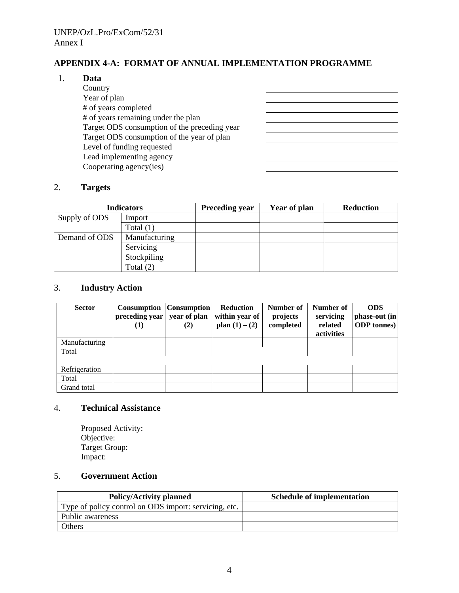# **APPENDIX 4-A: FORMAT OF ANNUAL IMPLEMENTATION PROGRAMME**

<u> 1989 - Johann Barbara, martin amerikan basar da</u>

#### 1. **Data**

 Country Year of plan # of years completed # of years remaining under the plan Target ODS consumption of the preceding year Target ODS consumption of the year of plan Level of funding requested Lead implementing agency Cooperating agency(ies)

#### 2. **Targets**

| <b>Indicators</b> |               | <b>Preceding year</b> | Year of plan | <b>Reduction</b> |
|-------------------|---------------|-----------------------|--------------|------------------|
| Supply of ODS     | Import        |                       |              |                  |
|                   | Total $(1)$   |                       |              |                  |
| Demand of ODS     | Manufacturing |                       |              |                  |
| Servicing         |               |                       |              |                  |
|                   | Stockpiling   |                       |              |                  |
| Total $(2)$       |               |                       |              |                  |

#### 3. **Industry Action**

| <b>Sector</b> | Consumption<br>preceding year<br>(1) | Consumption <br>year of plan<br>(2) | Reduction<br>within year of<br>plan $(1) - (2)$ | Number of<br>projects<br>completed | Number of<br>servicing<br>related<br>activities | <b>ODS</b><br>phase-out (in<br><b>ODP</b> tonnes) |
|---------------|--------------------------------------|-------------------------------------|-------------------------------------------------|------------------------------------|-------------------------------------------------|---------------------------------------------------|
| Manufacturing |                                      |                                     |                                                 |                                    |                                                 |                                                   |
| Total         |                                      |                                     |                                                 |                                    |                                                 |                                                   |
|               |                                      |                                     |                                                 |                                    |                                                 |                                                   |
| Refrigeration |                                      |                                     |                                                 |                                    |                                                 |                                                   |
| Total         |                                      |                                     |                                                 |                                    |                                                 |                                                   |
| Grand total   |                                      |                                     |                                                 |                                    |                                                 |                                                   |

#### 4. **Technical Assistance**

Proposed Activity: Objective: Target Group: Impact:

#### 5. **Government Action**

| <b>Policy/Activity planned</b>                        | <b>Schedule of implementation</b> |
|-------------------------------------------------------|-----------------------------------|
| Type of policy control on ODS import: servicing, etc. |                                   |
| Public awareness                                      |                                   |
| Others                                                |                                   |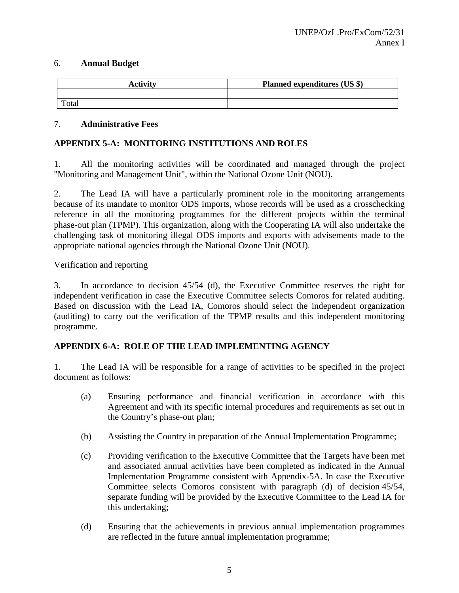#### 6. **Annual Budget**

| <b>Activity</b> | Planned expenditures (US \$) |
|-----------------|------------------------------|
|                 |                              |
| Total           |                              |

#### 7. **Administrative Fees**

#### **APPENDIX 5-A: MONITORING INSTITUTIONS AND ROLES**

1. All the monitoring activities will be coordinated and managed through the project "Monitoring and Management Unit", within the National Ozone Unit (NOU).

2. The Lead IA will have a particularly prominent role in the monitoring arrangements because of its mandate to monitor ODS imports, whose records will be used as a crosschecking reference in all the monitoring programmes for the different projects within the terminal phase-out plan (TPMP). This organization, along with the Cooperating IA will also undertake the challenging task of monitoring illegal ODS imports and exports with advisements made to the appropriate national agencies through the National Ozone Unit (NOU).

#### Verification and reporting

3. In accordance to decision 45/54 (d), the Executive Committee reserves the right for independent verification in case the Executive Committee selects Comoros for related auditing. Based on discussion with the Lead IA, Comoros should select the independent organization (auditing) to carry out the verification of the TPMP results and this independent monitoring programme.

#### **APPENDIX 6-A: ROLE OF THE LEAD IMPLEMENTING AGENCY**

1. The Lead IA will be responsible for a range of activities to be specified in the project document as follows:

- (a) Ensuring performance and financial verification in accordance with this Agreement and with its specific internal procedures and requirements as set out in the Country's phase-out plan;
- (b) Assisting the Country in preparation of the Annual Implementation Programme;
- (c) Providing verification to the Executive Committee that the Targets have been met and associated annual activities have been completed as indicated in the Annual Implementation Programme consistent with Appendix-5A. In case the Executive Committee selects Comoros consistent with paragraph (d) of decision 45/54, separate funding will be provided by the Executive Committee to the Lead IA for this undertaking;
- (d) Ensuring that the achievements in previous annual implementation programmes are reflected in the future annual implementation programme;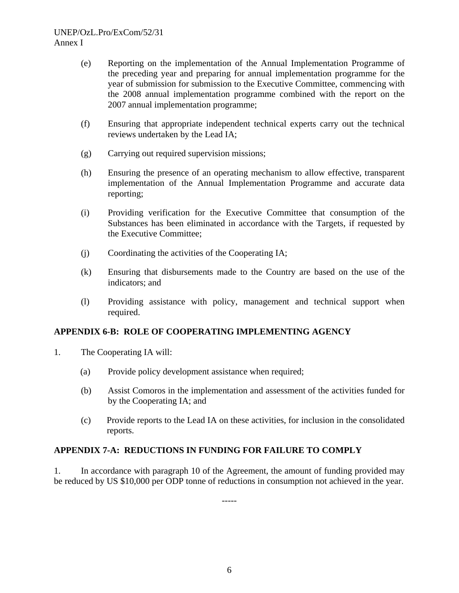- (e) Reporting on the implementation of the Annual Implementation Programme of the preceding year and preparing for annual implementation programme for the year of submission for submission to the Executive Committee, commencing with the 2008 annual implementation programme combined with the report on the 2007 annual implementation programme;
- (f) Ensuring that appropriate independent technical experts carry out the technical reviews undertaken by the Lead IA;
- (g) Carrying out required supervision missions;
- (h) Ensuring the presence of an operating mechanism to allow effective, transparent implementation of the Annual Implementation Programme and accurate data reporting;
- (i) Providing verification for the Executive Committee that consumption of the Substances has been eliminated in accordance with the Targets, if requested by the Executive Committee;
- (j) Coordinating the activities of the Cooperating IA;
- (k) Ensuring that disbursements made to the Country are based on the use of the indicators; and
- (l) Providing assistance with policy, management and technical support when required.

# **APPENDIX 6-B: ROLE OF COOPERATING IMPLEMENTING AGENCY**

- 1. The Cooperating IA will:
	- (a) Provide policy development assistance when required;
	- (b) Assist Comoros in the implementation and assessment of the activities funded for by the Cooperating IA; and
	- (c) Provide reports to the Lead IA on these activities, for inclusion in the consolidated reports.

# **APPENDIX 7-A: REDUCTIONS IN FUNDING FOR FAILURE TO COMPLY**

1. In accordance with paragraph 10 of the Agreement, the amount of funding provided may be reduced by US \$10,000 per ODP tonne of reductions in consumption not achieved in the year.

-----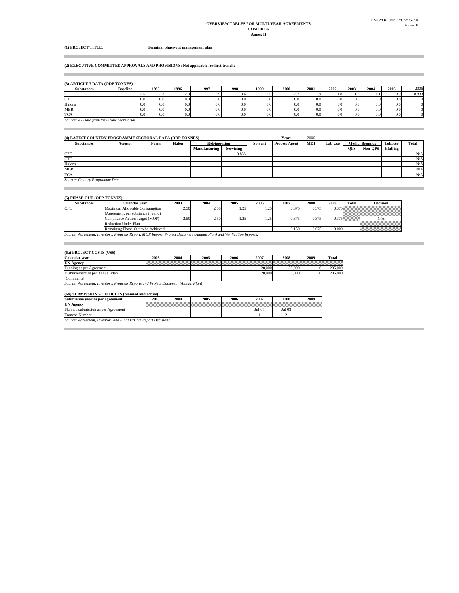#### **OVERVIEW TABLES FOR MULTI-YEAR AGREEMENTS COMOROS**

×

**(1) PROJECT TITLE: Terminal phase-out management plan**

#### **(2) EXECUTIVE COMMITTEE APPROVALS AND PROVISIONS: Not applicable for first tranche**

#### **(3) ARTICLE 7 DATA (ODP TONNES)**

the control of the control of the con-

| <b>Substances</b>                          | <b>Baseline</b> | 1995 | 1996 | 1997 | 1998     | 1999 | <b>2000</b> | 2001 | 2002             | 2003             | 2004             | 2005 | 2006  |
|--------------------------------------------|-----------------|------|------|------|----------|------|-------------|------|------------------|------------------|------------------|------|-------|
| <b>CFC</b>                                 | 2.5             | 2.3  | نسمت | 2.9  | 5.0      | ر.   | 2.7         |      | . .81            |                  |                  | 0.9  | 0.833 |
| <b>CTC</b>                                 | 0.0             | 0.0  |      | 0.0  | $_{0.0}$ | 0.0  | 0.0         | 0.0  | 0.01             | 0.0              | 0.01             | 0.0  |       |
| Halons                                     | 0.0             | 0.0  | 0.0. | 0.0  | 0.0      | 0.0  | 0.0         | 0.0  | 0.0 <sub>1</sub> | 0.0 <sub>1</sub> | 0.0 <sub>1</sub> | 0.0  |       |
| <b>MBR</b>                                 | 0.0             | 0.0  |      | 0.0  | $_{0.0}$ | 0.0  | 0.0         | 0.0  | 0.01             | 0.0              | 0.01             | 0.0  |       |
| <b>TCA</b>                                 | 0.0             | 0.0  |      | 0.0  | 0.0      | 0.0  | 0.0         |      | 0.0 <sub>1</sub> |                  | 0.0              | 0.0  |       |
| Source: A7 Data from the Ozone Secretariat |                 |      |      |      |          |      |             |      |                  |                  |                  |      |       |

#### **(4) LATEST COUNTRY PROGRAMME SECTORAL DATA (ODP TONNES) Year:** 2006

| (4) LATEST COUNTRY PROGRAMME SECTORAL DATA (ODP TONNES) |         |      |       |               |                  |         |                      | 2006       |                |            |                       |          |       |
|---------------------------------------------------------|---------|------|-------|---------------|------------------|---------|----------------------|------------|----------------|------------|-----------------------|----------|-------|
| <b>Substances</b>                                       | Aerosol | Foam | Halon | Refrigeration |                  | Solvent | <b>Process Agent</b> | <b>MDI</b> | <b>Lab Use</b> |            | <b>Methyl Bromide</b> | Tobacco  | Total |
|                                                         |         |      |       | Manufacturing | <b>Servicing</b> |         |                      |            |                | <b>OPS</b> | Non-OPS               | Fluffing |       |
| CFC                                                     |         |      |       |               | 0.833            |         |                      |            |                |            |                       |          | N/A   |
| <b>CTC</b>                                              |         |      |       |               |                  |         |                      |            |                |            |                       |          | N/A   |
| Halons                                                  |         |      |       |               |                  |         |                      |            |                |            |                       |          | N/A   |
| <b>MBR</b>                                              |         |      |       |               |                  |         |                      |            |                |            |                       |          | N/A   |
| <b>TCA</b>                                              |         |      |       |               |                  |         |                      |            |                |            |                       |          | N/A   |

*Source: Country Programme Data*

**Contract Contract** 

 $\sim$ 

m.

#### **(5) PHASE-OUT (ODP TONNES)**

| <b>Substances</b> | Calendar vear                                                                                                       | 2003           | 2004           | 2005 | 2006 | 2007  | 2008  | 2009  | <b>Total</b>   | <b>Decision</b> |
|-------------------|---------------------------------------------------------------------------------------------------------------------|----------------|----------------|------|------|-------|-------|-------|----------------|-----------------|
| <b>CFC</b>        | Maximum Allowable Consumption                                                                                       | 2.50           | 2.50           |      | 1.25 | 0.375 | 0.375 |       |                |                 |
|                   | (Agreement; per substance if valid)                                                                                 |                |                |      |      |       |       |       |                |                 |
|                   | Compliance Action Target (MOP)                                                                                      | $2.50^{\circ}$ | $2.50^{\circ}$ | .    | . 25 | 0.375 | 0.375 |       | 15 <i>www.</i> | N/A             |
|                   | <b>Reduction Under Plan</b>                                                                                         |                |                |      |      |       |       |       |                |                 |
|                   | Remaining Phase-Out to be Achieved                                                                                  |                |                |      |      | 0.150 | 0.075 | 0.000 |                |                 |
|                   | Source: Agreement, Inventory, Progress Report, MOP Report, Project Document (Annual Plan) and Verification Reports. |                |                |      |      |       |       |       |                |                 |

#### **(6a) PROJECT COSTS (US\$)**

| <b>Calendar vear</b>            | 2003                                                                              | 2004 | 2005 | 2006 | 2007    | 2008   | 2009 | Total   |  |  |  |
|---------------------------------|-----------------------------------------------------------------------------------|------|------|------|---------|--------|------|---------|--|--|--|
| <b>UN Agency</b>                |                                                                                   |      |      |      |         |        |      |         |  |  |  |
| Funding as per Agreement        |                                                                                   |      |      |      | 120,000 | 85,000 |      | 205,000 |  |  |  |
| Disbursement as per Annual Plan |                                                                                   |      |      |      | 120,000 | 85,000 |      | 205,000 |  |  |  |
| [Comments]                      |                                                                                   |      |      |      |         |        |      |         |  |  |  |
|                                 | Source: Agreement, Inventory, Progress Reports and Project Document (Annual Plan) |      |      |      |         |        |      |         |  |  |  |

| (6b) SUBMISSION SCHEDULES (planned and actual) |      |      |      |      |          |          |      |  |  |  |  |  |
|------------------------------------------------|------|------|------|------|----------|----------|------|--|--|--|--|--|
| Submission year as per agreement               | 2003 | 2004 | 2005 | 2006 | 2007     | 2008     | 2009 |  |  |  |  |  |
| <b>UN Agency</b>                               |      |      |      |      |          |          |      |  |  |  |  |  |
| Planned submission as per Agreement            |      |      |      |      | $Jul-07$ | $Jul-08$ |      |  |  |  |  |  |
| Tranche Number                                 |      |      |      |      |          |          |      |  |  |  |  |  |
|                                                |      |      |      |      |          |          |      |  |  |  |  |  |

*Source: Agreement, Inventory and Final ExCom Report Decisions*